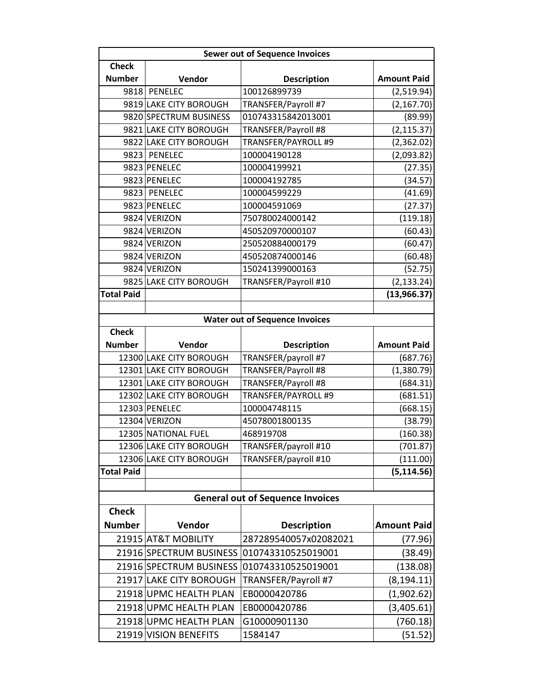|                   | <b>Sewer out of Sequence Invoices</b> |                                         |                    |  |  |
|-------------------|---------------------------------------|-----------------------------------------|--------------------|--|--|
| <b>Check</b>      |                                       |                                         |                    |  |  |
| <b>Number</b>     | Vendor                                | <b>Description</b>                      | <b>Amount Paid</b> |  |  |
|                   | 9818 PENELEC                          | 100126899739                            | (2,519.94)         |  |  |
|                   | 9819 LAKE CITY BOROUGH                | TRANSFER/Payroll #7                     | (2, 167.70)        |  |  |
|                   | 9820 SPECTRUM BUSINESS                | 010743315842013001                      | (89.99)            |  |  |
|                   | 9821 LAKE CITY BOROUGH                | TRANSFER/Payroll #8                     | (2, 115.37)        |  |  |
|                   | 9822 LAKE CITY BOROUGH                | TRANSFER/PAYROLL #9                     | (2,362.02)         |  |  |
|                   | 9823 PENELEC                          | 100004190128                            | (2,093.82)         |  |  |
|                   | 9823 PENELEC                          | 100004199921                            | (27.35)            |  |  |
|                   | 9823 PENELEC                          | 100004192785                            | (34.57)            |  |  |
|                   | 9823 PENELEC                          | 100004599229                            | (41.69)            |  |  |
|                   | 9823 PENELEC                          | 100004591069                            | (27.37)            |  |  |
|                   | 9824 VERIZON                          | 750780024000142                         | (119.18)           |  |  |
|                   | 9824 VERIZON                          | 450520970000107                         | (60.43)            |  |  |
|                   | 9824 VERIZON                          | 250520884000179                         | (60.47)            |  |  |
|                   | 9824 VERIZON                          | 450520874000146                         | (60.48)            |  |  |
|                   | 9824 VERIZON                          | 150241399000163                         | (52.75)            |  |  |
|                   | 9825 LAKE CITY BOROUGH                | TRANSFER/Payroll #10                    | (2, 133.24)        |  |  |
| <b>Total Paid</b> |                                       |                                         | (13,966.37)        |  |  |
|                   |                                       |                                         |                    |  |  |
|                   |                                       | <b>Water out of Sequence Invoices</b>   |                    |  |  |
| <b>Check</b>      |                                       |                                         |                    |  |  |
| <b>Number</b>     | Vendor                                | <b>Description</b>                      | <b>Amount Paid</b> |  |  |
|                   | 12300 LAKE CITY BOROUGH               | TRANSFER/payroll #7                     | (687.76)           |  |  |
|                   | 12301 LAKE CITY BOROUGH               | TRANSFER/Payroll #8                     | (1,380.79)         |  |  |
|                   | 12301 LAKE CITY BOROUGH               | TRANSFER/Payroll #8                     | (684.31)           |  |  |
|                   | 12302 LAKE CITY BOROUGH               | TRANSFER/PAYROLL #9                     | (681.51)           |  |  |
|                   | 12303 PENELEC                         | 100004748115                            | (668.15)           |  |  |
|                   | 12304 VERIZON                         | 45078001800135                          | (38.79)            |  |  |
|                   | 12305 NATIONAL FUEL                   | 468919708                               | (160.38)           |  |  |
|                   | 12306 LAKE CITY BOROUGH               | TRANSFER/payroll #10                    | (701.87)           |  |  |
|                   | 12306 LAKE CITY BOROUGH               | TRANSFER/payroll #10                    | (111.00)           |  |  |
| <b>Total Paid</b> |                                       |                                         | (5, 114.56)        |  |  |
|                   |                                       |                                         |                    |  |  |
|                   |                                       | <b>General out of Sequence Invoices</b> |                    |  |  |
| <b>Check</b>      |                                       |                                         |                    |  |  |
| <b>Number</b>     | Vendor                                | <b>Description</b>                      | <b>Amount Paid</b> |  |  |
|                   | 21915 AT&T MOBILITY                   | 287289540057x02082021                   | (77.96)            |  |  |
|                   | 21916 SPECTRUM BUSINESS               | 010743310525019001                      | (38.49)            |  |  |
|                   | 21916 SPECTRUM BUSINESS               | 010743310525019001                      | (138.08)           |  |  |
|                   | 21917 LAKE CITY BOROUGH               | TRANSFER/Payroll #7                     | (8, 194.11)        |  |  |
|                   | 21918 UPMC HEALTH PLAN                | EB0000420786                            | (1,902.62)         |  |  |
|                   | 21918 UPMC HEALTH PLAN                | EB0000420786                            | (3,405.61)         |  |  |
|                   | 21918 UPMC HEALTH PLAN                | G10000901130                            | (760.18)           |  |  |
|                   | 21919 VISION BENEFITS                 | 1584147                                 |                    |  |  |
|                   |                                       |                                         | (51.52)            |  |  |